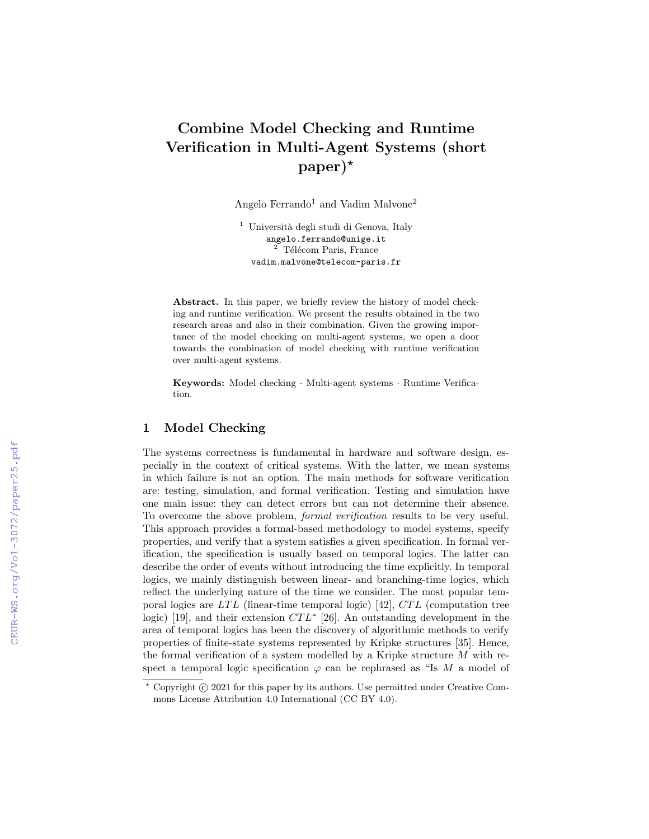# Combine Model Checking and Runtime Verification in Multi-Agent Systems (short  $paper)$ <sup>\*</sup>

Angelo Ferrando<sup>1</sup> and Vadim Malvone<sup>2</sup>

 $^1$ Università degli studi di Genova, Italy angelo.ferrando@unige.it  $2$  Télécom Paris, France vadim.malvone@telecom-paris.fr

Abstract. In this paper, we briefly review the history of model checking and runtime verification. We present the results obtained in the two research areas and also in their combination. Given the growing importance of the model checking on multi-agent systems, we open a door towards the combination of model checking with runtime verification over multi-agent systems.

Keywords: Model checking · Multi-agent systems · Runtime Verification.

# 1 Model Checking

The systems correctness is fundamental in hardware and software design, especially in the context of critical systems. With the latter, we mean systems in which failure is not an option. The main methods for software verification are: testing, simulation, and formal verification. Testing and simulation have one main issue: they can detect errors but can not determine their absence. To overcome the above problem, formal verification results to be very useful. This approach provides a formal-based methodology to model systems, specify properties, and verify that a system satisfies a given specification. In formal verification, the specification is usually based on temporal logics. The latter can describe the order of events without introducing the time explicitly. In temporal logics, we mainly distinguish between linear- and branching-time logics, which reflect the underlying nature of the time we consider. The most popular temporal logics are  $LTL$  (linear-time temporal logic) [42],  $CTL$  (computation tree logic) [19], and their extension  $CTL^*$  [26]. An outstanding development in the area of temporal logics has been the discovery of algorithmic methods to verify properties of finite-state systems represented by Kripke structures [35]. Hence, the formal verification of a system modelled by a Kripke structure  $M$  with respect a temporal logic specification  $\varphi$  can be rephrased as "Is M a model of

 $*$  Copyright  $\circ$  2021 for this paper by its authors. Use permitted under Creative Commons License Attribution 4.0 International (CC BY 4.0).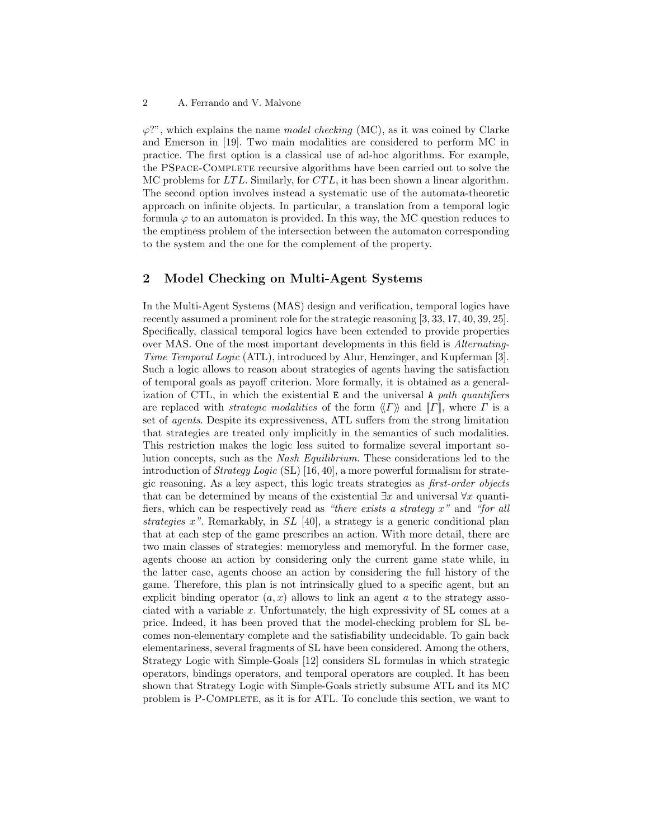#### 2 A. Ferrando and V. Malvone

 $\varphi$ ?", which explains the name *model checking* (MC), as it was coined by Clarke and Emerson in [19]. Two main modalities are considered to perform MC in practice. The first option is a classical use of ad-hoc algorithms. For example, the PSpace-Complete recursive algorithms have been carried out to solve the MC problems for  $LTL$ . Similarly, for  $CTL$ , it has been shown a linear algorithm. The second option involves instead a systematic use of the automata-theoretic approach on infinite objects. In particular, a translation from a temporal logic formula  $\varphi$  to an automaton is provided. In this way, the MC question reduces to the emptiness problem of the intersection between the automaton corresponding to the system and the one for the complement of the property.

# 2 Model Checking on Multi-Agent Systems

In the Multi-Agent Systems (MAS) design and verification, temporal logics have recently assumed a prominent role for the strategic reasoning [3, 33, 17, 40, 39, 25]. Specifically, classical temporal logics have been extended to provide properties over MAS. One of the most important developments in this field is Alternating-Time Temporal Logic (ATL), introduced by Alur, Henzinger, and Kupferman [3]. Such a logic allows to reason about strategies of agents having the satisfaction of temporal goals as payoff criterion. More formally, it is obtained as a generalization of CTL, in which the existential  $E$  and the universal A path quantifiers are replaced with *strategic modalities* of the form  $\langle\langle \Gamma \rangle\rangle$  and  $\| \Gamma \|$ , where  $\Gamma$  is a set of agents. Despite its expressiveness, ATL suffers from the strong limitation that strategies are treated only implicitly in the semantics of such modalities. This restriction makes the logic less suited to formalize several important solution concepts, such as the Nash Equilibrium. These considerations led to the introduction of Strategy Logic (SL) [16, 40], a more powerful formalism for strategic reasoning. As a key aspect, this logic treats strategies as first-order objects that can be determined by means of the existential  $\exists x$  and universal  $\forall x$  quantifiers, which can be respectively read as "there exists a strategy  $x$ " and "for all strategies x". Remarkably, in  $SL$  [40], a strategy is a generic conditional plan that at each step of the game prescribes an action. With more detail, there are two main classes of strategies: memoryless and memoryful. In the former case, agents choose an action by considering only the current game state while, in the latter case, agents choose an action by considering the full history of the game. Therefore, this plan is not intrinsically glued to a specific agent, but an explicit binding operator  $(a, x)$  allows to link an agent a to the strategy associated with a variable  $x$ . Unfortunately, the high expressivity of SL comes at a price. Indeed, it has been proved that the model-checking problem for SL becomes non-elementary complete and the satisfiability undecidable. To gain back elementariness, several fragments of SL have been considered. Among the others, Strategy Logic with Simple-Goals [12] considers SL formulas in which strategic operators, bindings operators, and temporal operators are coupled. It has been shown that Strategy Logic with Simple-Goals strictly subsume ATL and its MC problem is P-Complete, as it is for ATL. To conclude this section, we want to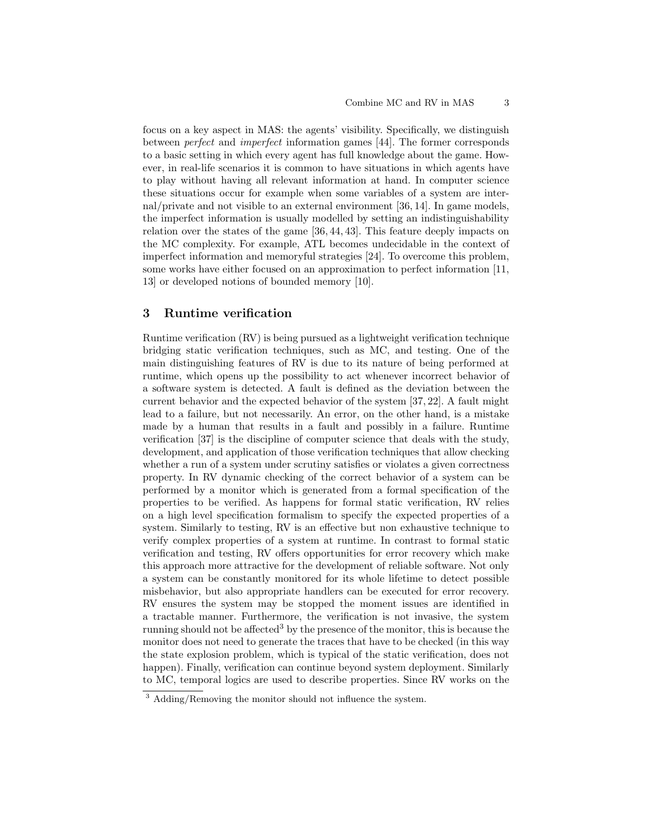focus on a key aspect in MAS: the agents' visibility. Specifically, we distinguish between perfect and imperfect information games [44]. The former corresponds to a basic setting in which every agent has full knowledge about the game. However, in real-life scenarios it is common to have situations in which agents have to play without having all relevant information at hand. In computer science these situations occur for example when some variables of a system are internal/private and not visible to an external environment [36, 14]. In game models, the imperfect information is usually modelled by setting an indistinguishability relation over the states of the game [36, 44, 43]. This feature deeply impacts on the MC complexity. For example, ATL becomes undecidable in the context of imperfect information and memoryful strategies [24]. To overcome this problem, some works have either focused on an approximation to perfect information [11, 13] or developed notions of bounded memory [10].

# 3 Runtime verification

Runtime verification (RV) is being pursued as a lightweight verification technique bridging static verification techniques, such as MC, and testing. One of the main distinguishing features of RV is due to its nature of being performed at runtime, which opens up the possibility to act whenever incorrect behavior of a software system is detected. A fault is defined as the deviation between the current behavior and the expected behavior of the system [37, 22]. A fault might lead to a failure, but not necessarily. An error, on the other hand, is a mistake made by a human that results in a fault and possibly in a failure. Runtime verification [37] is the discipline of computer science that deals with the study, development, and application of those verification techniques that allow checking whether a run of a system under scrutiny satisfies or violates a given correctness property. In RV dynamic checking of the correct behavior of a system can be performed by a monitor which is generated from a formal specification of the properties to be verified. As happens for formal static verification, RV relies on a high level specification formalism to specify the expected properties of a system. Similarly to testing, RV is an effective but non exhaustive technique to verify complex properties of a system at runtime. In contrast to formal static verification and testing, RV offers opportunities for error recovery which make this approach more attractive for the development of reliable software. Not only a system can be constantly monitored for its whole lifetime to detect possible misbehavior, but also appropriate handlers can be executed for error recovery. RV ensures the system may be stopped the moment issues are identified in a tractable manner. Furthermore, the verification is not invasive, the system running should not be affected<sup>3</sup> by the presence of the monitor, this is because the monitor does not need to generate the traces that have to be checked (in this way the state explosion problem, which is typical of the static verification, does not happen). Finally, verification can continue beyond system deployment. Similarly to MC, temporal logics are used to describe properties. Since RV works on the

<sup>3</sup> Adding/Removing the monitor should not influence the system.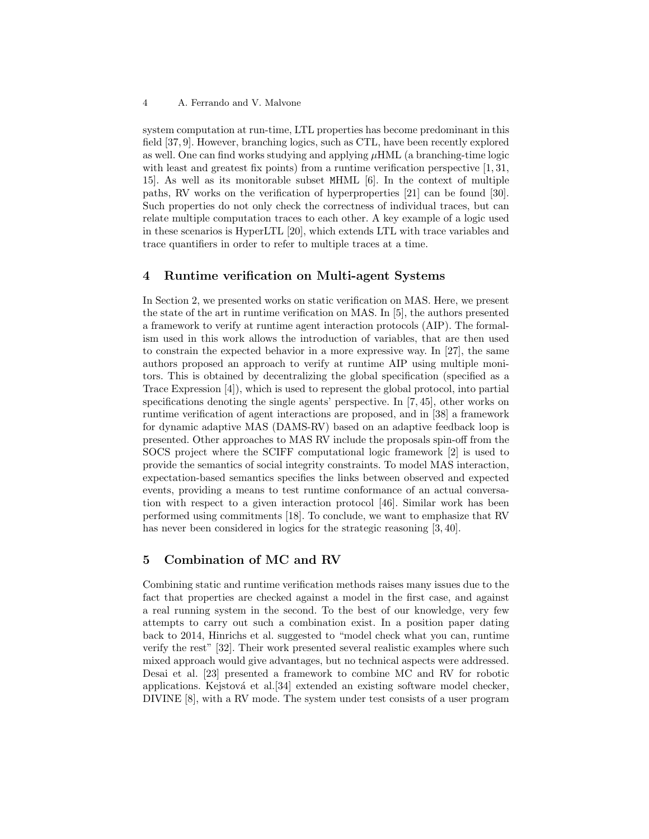system computation at run-time, LTL properties has become predominant in this field [37, 9]. However, branching logics, such as CTL, have been recently explored as well. One can find works studying and applying  $\mu$ HML (a branching-time logic with least and greatest fix points) from a runtime verification perspective [1, 31, 15]. As well as its monitorable subset MHML [6]. In the context of multiple paths, RV works on the verification of hyperproperties [21] can be found [30]. Such properties do not only check the correctness of individual traces, but can relate multiple computation traces to each other. A key example of a logic used in these scenarios is HyperLTL [20], which extends LTL with trace variables and trace quantifiers in order to refer to multiple traces at a time.

#### 4 Runtime verification on Multi-agent Systems

In Section 2, we presented works on static verification on MAS. Here, we present the state of the art in runtime verification on MAS. In [5], the authors presented a framework to verify at runtime agent interaction protocols (AIP). The formalism used in this work allows the introduction of variables, that are then used to constrain the expected behavior in a more expressive way. In [27], the same authors proposed an approach to verify at runtime AIP using multiple monitors. This is obtained by decentralizing the global specification (specified as a Trace Expression [4]), which is used to represent the global protocol, into partial specifications denoting the single agents' perspective. In [7, 45], other works on runtime verification of agent interactions are proposed, and in [38] a framework for dynamic adaptive MAS (DAMS-RV) based on an adaptive feedback loop is presented. Other approaches to MAS RV include the proposals spin-off from the SOCS project where the SCIFF computational logic framework [2] is used to provide the semantics of social integrity constraints. To model MAS interaction, expectation-based semantics specifies the links between observed and expected events, providing a means to test runtime conformance of an actual conversation with respect to a given interaction protocol [46]. Similar work has been performed using commitments [18]. To conclude, we want to emphasize that RV has never been considered in logics for the strategic reasoning [3, 40].

### 5 Combination of MC and RV

Combining static and runtime verification methods raises many issues due to the fact that properties are checked against a model in the first case, and against a real running system in the second. To the best of our knowledge, very few attempts to carry out such a combination exist. In a position paper dating back to 2014, Hinrichs et al. suggested to "model check what you can, runtime verify the rest" [32]. Their work presented several realistic examples where such mixed approach would give advantages, but no technical aspects were addressed. Desai et al. [23] presented a framework to combine MC and RV for robotic applications. Kejstová et al.[34] extended an existing software model checker, DIVINE [8], with a RV mode. The system under test consists of a user program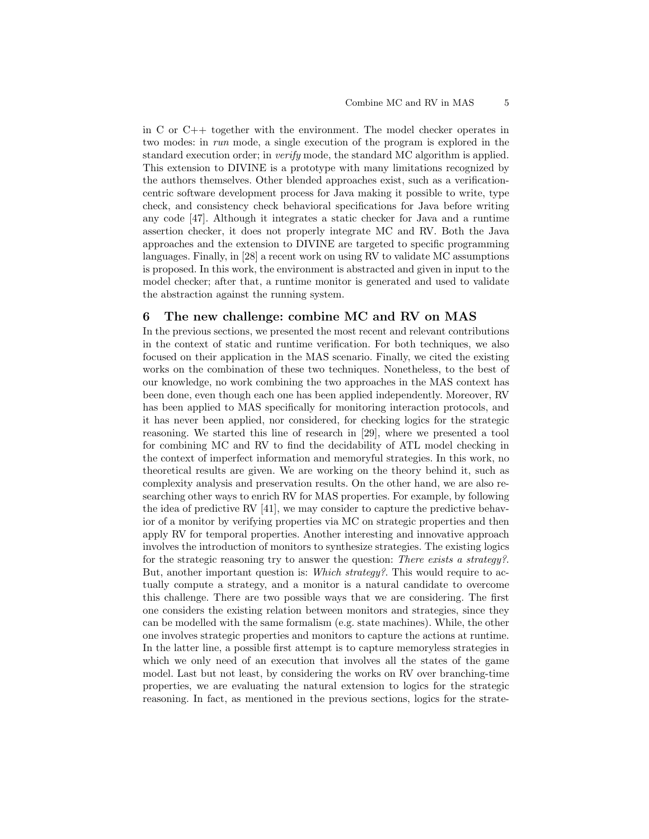in C or C++ together with the environment. The model checker operates in two modes: in run mode, a single execution of the program is explored in the standard execution order; in verify mode, the standard MC algorithm is applied. This extension to DIVINE is a prototype with many limitations recognized by the authors themselves. Other blended approaches exist, such as a verificationcentric software development process for Java making it possible to write, type check, and consistency check behavioral specifications for Java before writing any code [47]. Although it integrates a static checker for Java and a runtime assertion checker, it does not properly integrate MC and RV. Both the Java approaches and the extension to DIVINE are targeted to specific programming languages. Finally, in [28] a recent work on using RV to validate MC assumptions is proposed. In this work, the environment is abstracted and given in input to the model checker; after that, a runtime monitor is generated and used to validate the abstraction against the running system.

#### 6 The new challenge: combine MC and RV on MAS

In the previous sections, we presented the most recent and relevant contributions in the context of static and runtime verification. For both techniques, we also focused on their application in the MAS scenario. Finally, we cited the existing works on the combination of these two techniques. Nonetheless, to the best of our knowledge, no work combining the two approaches in the MAS context has been done, even though each one has been applied independently. Moreover, RV has been applied to MAS specifically for monitoring interaction protocols, and it has never been applied, nor considered, for checking logics for the strategic reasoning. We started this line of research in [29], where we presented a tool for combining MC and RV to find the decidability of ATL model checking in the context of imperfect information and memoryful strategies. In this work, no theoretical results are given. We are working on the theory behind it, such as complexity analysis and preservation results. On the other hand, we are also researching other ways to enrich RV for MAS properties. For example, by following the idea of predictive RV [41], we may consider to capture the predictive behavior of a monitor by verifying properties via MC on strategic properties and then apply RV for temporal properties. Another interesting and innovative approach involves the introduction of monitors to synthesize strategies. The existing logics for the strategic reasoning try to answer the question: There exists a strategy?. But, another important question is: Which strategy?. This would require to actually compute a strategy, and a monitor is a natural candidate to overcome this challenge. There are two possible ways that we are considering. The first one considers the existing relation between monitors and strategies, since they can be modelled with the same formalism (e.g. state machines). While, the other one involves strategic properties and monitors to capture the actions at runtime. In the latter line, a possible first attempt is to capture memoryless strategies in which we only need of an execution that involves all the states of the game model. Last but not least, by considering the works on RV over branching-time properties, we are evaluating the natural extension to logics for the strategic reasoning. In fact, as mentioned in the previous sections, logics for the strate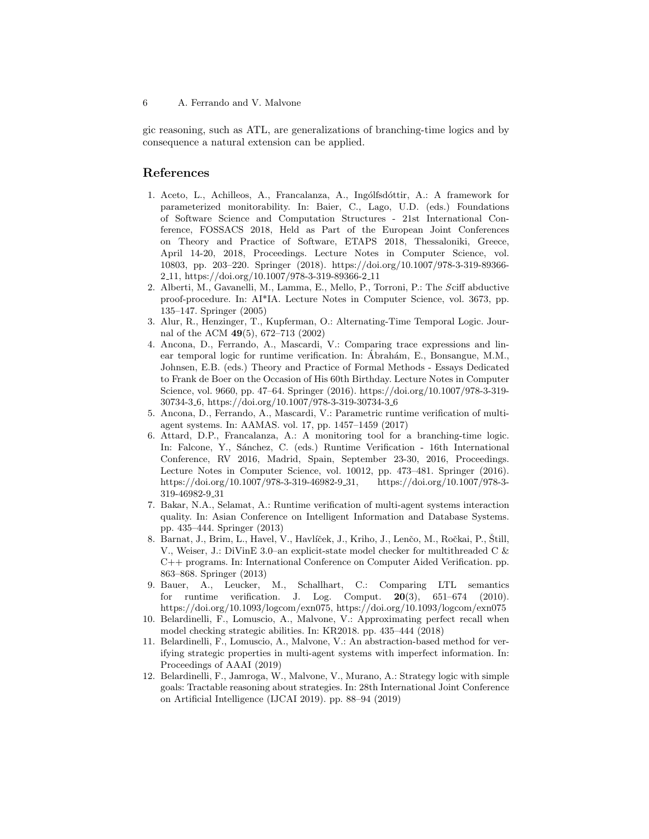gic reasoning, such as ATL, are generalizations of branching-time logics and by consequence a natural extension can be applied.

## References

- 1. Aceto, L., Achilleos, A., Francalanza, A., Ingólfsdóttir, A.: A framework for parameterized monitorability. In: Baier, C., Lago, U.D. (eds.) Foundations of Software Science and Computation Structures - 21st International Conference, FOSSACS 2018, Held as Part of the European Joint Conferences on Theory and Practice of Software, ETAPS 2018, Thessaloniki, Greece, April 14-20, 2018, Proceedings. Lecture Notes in Computer Science, vol. 10803, pp. 203–220. Springer (2018). https://doi.org/10.1007/978-3-319-89366- 2 11, https://doi.org/10.1007/978-3-319-89366-2 11
- 2. Alberti, M., Gavanelli, M., Lamma, E., Mello, P., Torroni, P.: The Sciff abductive proof-procedure. In: AI\*IA. Lecture Notes in Computer Science, vol. 3673, pp. 135–147. Springer (2005)
- 3. Alur, R., Henzinger, T., Kupferman, O.: Alternating-Time Temporal Logic. Journal of the ACM 49(5), 672–713 (2002)
- 4. Ancona, D., Ferrando, A., Mascardi, V.: Comparing trace expressions and linear temporal logic for runtime verification. In: Ábrahám, E., Bonsangue, M.M., Johnsen, E.B. (eds.) Theory and Practice of Formal Methods - Essays Dedicated to Frank de Boer on the Occasion of His 60th Birthday. Lecture Notes in Computer Science, vol. 9660, pp. 47–64. Springer (2016). https://doi.org/10.1007/978-3-319- 30734-3 6, https://doi.org/10.1007/978-3-319-30734-3 6
- 5. Ancona, D., Ferrando, A., Mascardi, V.: Parametric runtime verification of multiagent systems. In: AAMAS. vol. 17, pp. 1457–1459 (2017)
- 6. Attard, D.P., Francalanza, A.: A monitoring tool for a branching-time logic. In: Falcone, Y., Sánchez, C. (eds.) Runtime Verification - 16th International Conference, RV 2016, Madrid, Spain, September 23-30, 2016, Proceedings. Lecture Notes in Computer Science, vol. 10012, pp. 473–481. Springer (2016). https://doi.org/10.1007/978-3-319-46982-9 31, https://doi.org/10.1007/978-3- 319-46982-9 31
- 7. Bakar, N.A., Selamat, A.: Runtime verification of multi-agent systems interaction quality. In: Asian Conference on Intelligent Information and Database Systems. pp. 435–444. Springer (2013)
- 8. Barnat, J., Brim, L., Havel, V., Havlíček, J., Kriho, J., Lenčo, M., Ročkai, P., Still, V., Weiser, J.: DiVinE 3.0–an explicit-state model checker for multithreaded C & C++ programs. In: International Conference on Computer Aided Verification. pp. 863–868. Springer (2013)
- 9. Bauer, A., Leucker, M., Schallhart, C.: Comparing LTL semantics for runtime verification. J. Log. Comput.  $20(3)$ ,  $651-674$  (2010). https://doi.org/10.1093/logcom/exn075, https://doi.org/10.1093/logcom/exn075
- 10. Belardinelli, F., Lomuscio, A., Malvone, V.: Approximating perfect recall when model checking strategic abilities. In: KR2018. pp. 435–444 (2018)
- 11. Belardinelli, F., Lomuscio, A., Malvone, V.: An abstraction-based method for verifying strategic properties in multi-agent systems with imperfect information. In: Proceedings of AAAI (2019)
- 12. Belardinelli, F., Jamroga, W., Malvone, V., Murano, A.: Strategy logic with simple goals: Tractable reasoning about strategies. In: 28th International Joint Conference on Artificial Intelligence (IJCAI 2019). pp. 88–94 (2019)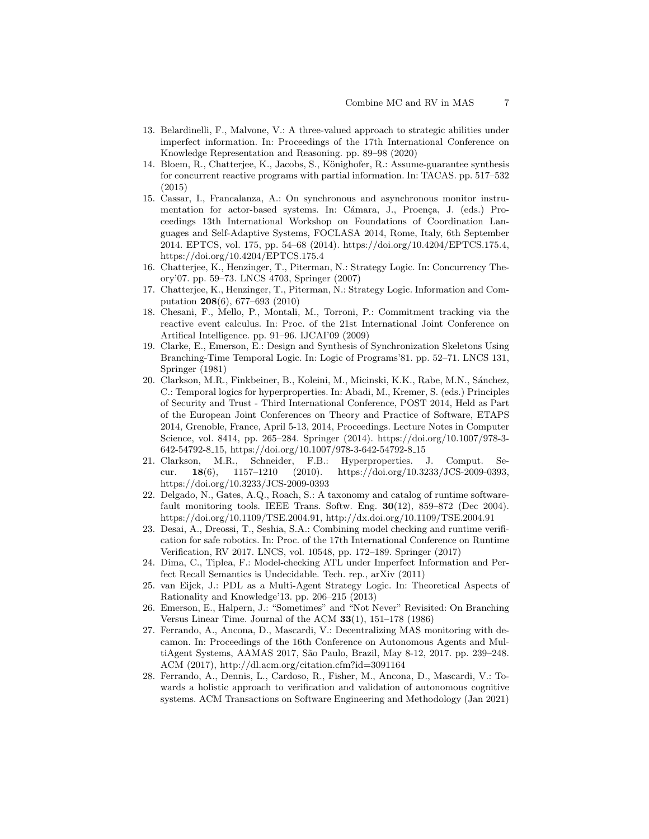- 13. Belardinelli, F., Malvone, V.: A three-valued approach to strategic abilities under imperfect information. In: Proceedings of the 17th International Conference on Knowledge Representation and Reasoning. pp. 89–98 (2020)
- 14. Bloem, R., Chatterjee, K., Jacobs, S., Könighofer, R.: Assume-guarantee synthesis for concurrent reactive programs with partial information. In: TACAS. pp. 517–532 (2015)
- 15. Cassar, I., Francalanza, A.: On synchronous and asynchronous monitor instrumentation for actor-based systems. In: Cámara, J., Proença, J. (eds.) Proceedings 13th International Workshop on Foundations of Coordination Languages and Self-Adaptive Systems, FOCLASA 2014, Rome, Italy, 6th September 2014. EPTCS, vol. 175, pp. 54–68 (2014). https://doi.org/10.4204/EPTCS.175.4, https://doi.org/10.4204/EPTCS.175.4
- 16. Chatterjee, K., Henzinger, T., Piterman, N.: Strategy Logic. In: Concurrency Theory'07. pp. 59–73. LNCS 4703, Springer (2007)
- 17. Chatterjee, K., Henzinger, T., Piterman, N.: Strategy Logic. Information and Computation 208(6), 677–693 (2010)
- 18. Chesani, F., Mello, P., Montali, M., Torroni, P.: Commitment tracking via the reactive event calculus. In: Proc. of the 21st International Joint Conference on Artifical Intelligence. pp. 91–96. IJCAI'09 (2009)
- 19. Clarke, E., Emerson, E.: Design and Synthesis of Synchronization Skeletons Using Branching-Time Temporal Logic. In: Logic of Programs'81. pp. 52–71. LNCS 131, Springer (1981)
- 20. Clarkson, M.R., Finkbeiner, B., Koleini, M., Micinski, K.K., Rabe, M.N., Sánchez, C.: Temporal logics for hyperproperties. In: Abadi, M., Kremer, S. (eds.) Principles of Security and Trust - Third International Conference, POST 2014, Held as Part of the European Joint Conferences on Theory and Practice of Software, ETAPS 2014, Grenoble, France, April 5-13, 2014, Proceedings. Lecture Notes in Computer Science, vol. 8414, pp. 265–284. Springer (2014). https://doi.org/10.1007/978-3- 642-54792-8 15, https://doi.org/10.1007/978-3-642-54792-8 15
- 21. Clarkson, M.R., Schneider, F.B.: Hyperproperties. J. Comput. Secur. 18(6), 1157–1210 (2010). https://doi.org/10.3233/JCS-2009-0393, https://doi.org/10.3233/JCS-2009-0393
- 22. Delgado, N., Gates, A.Q., Roach, S.: A taxonomy and catalog of runtime softwarefault monitoring tools. IEEE Trans. Softw. Eng.  $30(12)$ ,  $859-872$  (Dec 2004). https://doi.org/10.1109/TSE.2004.91, http://dx.doi.org/10.1109/TSE.2004.91
- 23. Desai, A., Dreossi, T., Seshia, S.A.: Combining model checking and runtime verification for safe robotics. In: Proc. of the 17th International Conference on Runtime Verification, RV 2017. LNCS, vol. 10548, pp. 172–189. Springer (2017)
- 24. Dima, C., Tiplea, F.: Model-checking ATL under Imperfect Information and Perfect Recall Semantics is Undecidable. Tech. rep., arXiv (2011)
- 25. van Eijck, J.: PDL as a Multi-Agent Strategy Logic. In: Theoretical Aspects of Rationality and Knowledge'13. pp. 206–215 (2013)
- 26. Emerson, E., Halpern, J.: "Sometimes" and "Not Never" Revisited: On Branching Versus Linear Time. Journal of the ACM  $33(1)$ ,  $151-178$  (1986)
- 27. Ferrando, A., Ancona, D., Mascardi, V.: Decentralizing MAS monitoring with decamon. In: Proceedings of the 16th Conference on Autonomous Agents and MultiAgent Systems, AAMAS 2017, São Paulo, Brazil, May 8-12, 2017. pp. 239–248. ACM (2017), http://dl.acm.org/citation.cfm?id=3091164
- 28. Ferrando, A., Dennis, L., Cardoso, R., Fisher, M., Ancona, D., Mascardi, V.: Towards a holistic approach to verification and validation of autonomous cognitive systems. ACM Transactions on Software Engineering and Methodology (Jan 2021)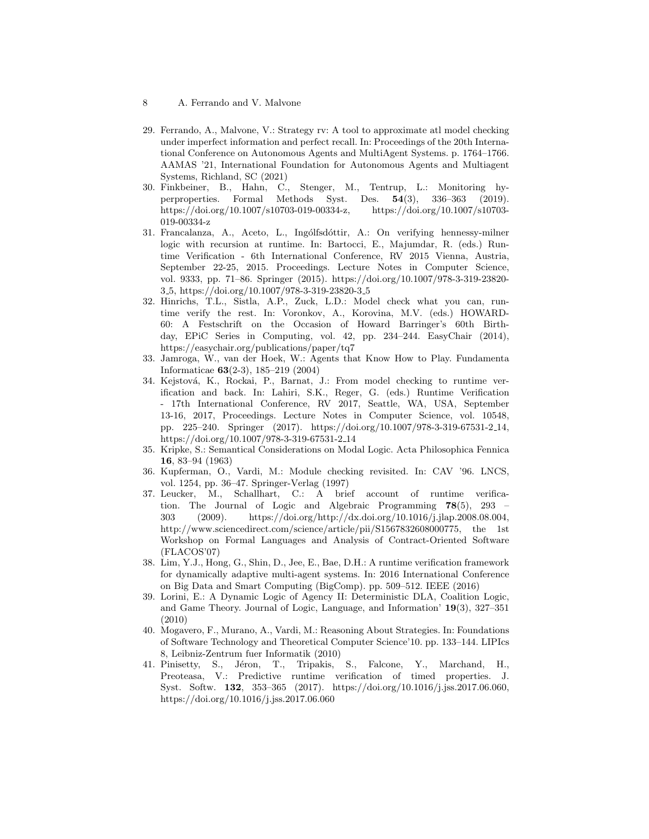- 29. Ferrando, A., Malvone, V.: Strategy rv: A tool to approximate atl model checking under imperfect information and perfect recall. In: Proceedings of the 20th International Conference on Autonomous Agents and MultiAgent Systems. p. 1764–1766. AAMAS '21, International Foundation for Autonomous Agents and Multiagent Systems, Richland, SC (2021)
- 30. Finkbeiner, B., Hahn, C., Stenger, M., Tentrup, L.: Monitoring hyperproperties. Formal Methods Syst. Des. 54(3), 336–363 (2019). https://doi.org/10.1007/s10703-019-00334-z, https://doi.org/10.1007/s10703- 019-00334-z
- 31. Francalanza, A., Aceto, L., Ingólfsdóttir, A.: On verifying hennessy-milner logic with recursion at runtime. In: Bartocci, E., Majumdar, R. (eds.) Runtime Verification - 6th International Conference, RV 2015 Vienna, Austria, September 22-25, 2015. Proceedings. Lecture Notes in Computer Science, vol. 9333, pp. 71–86. Springer (2015). https://doi.org/10.1007/978-3-319-23820- 3 5, https://doi.org/10.1007/978-3-319-23820-3 5
- 32. Hinrichs, T.L., Sistla, A.P., Zuck, L.D.: Model check what you can, runtime verify the rest. In: Voronkov, A., Korovina, M.V. (eds.) HOWARD-60: A Festschrift on the Occasion of Howard Barringer's 60th Birthday, EPiC Series in Computing, vol. 42, pp. 234–244. EasyChair (2014), https://easychair.org/publications/paper/tq7
- 33. Jamroga, W., van der Hoek, W.: Agents that Know How to Play. Fundamenta Informaticae 63(2-3), 185–219 (2004)
- 34. Kejstová, K., Rockai, P., Barnat, J.: From model checking to runtime verification and back. In: Lahiri, S.K., Reger, G. (eds.) Runtime Verification - 17th International Conference, RV 2017, Seattle, WA, USA, September 13-16, 2017, Proceedings. Lecture Notes in Computer Science, vol. 10548, pp. 225–240. Springer (2017). https://doi.org/10.1007/978-3-319-67531-2 14, https://doi.org/10.1007/978-3-319-67531-2 14
- 35. Kripke, S.: Semantical Considerations on Modal Logic. Acta Philosophica Fennica 16, 83–94 (1963)
- 36. Kupferman, O., Vardi, M.: Module checking revisited. In: CAV '96. LNCS, vol. 1254, pp. 36–47. Springer-Verlag (1997)
- 37. Leucker, M., Schallhart, C.: A brief account of runtime verification. The Journal of Logic and Algebraic Programming 78(5), 293 – 303 (2009). https://doi.org/http://dx.doi.org/10.1016/j.jlap.2008.08.004, http://www.sciencedirect.com/science/article/pii/S1567832608000775, the 1st Workshop on Formal Languages and Analysis of Contract-Oriented Software (FLACOS'07)
- 38. Lim, Y.J., Hong, G., Shin, D., Jee, E., Bae, D.H.: A runtime verification framework for dynamically adaptive multi-agent systems. In: 2016 International Conference on Big Data and Smart Computing (BigComp). pp. 509–512. IEEE (2016)
- 39. Lorini, E.: A Dynamic Logic of Agency II: Deterministic DLA, Coalition Logic, and Game Theory. Journal of Logic, Language, and Information' 19(3), 327–351 (2010)
- 40. Mogavero, F., Murano, A., Vardi, M.: Reasoning About Strategies. In: Foundations of Software Technology and Theoretical Computer Science'10. pp. 133–144. LIPIcs 8, Leibniz-Zentrum fuer Informatik (2010)
- 41. Pinisetty, S., Jéron, T., Tripakis, S., Falcone, Y., Marchand, H., Preoteasa, V.: Predictive runtime verification of timed properties. J. Syst. Softw. 132, 353–365 (2017). https://doi.org/10.1016/j.jss.2017.06.060, https://doi.org/10.1016/j.jss.2017.06.060

<sup>8</sup> A. Ferrando and V. Malvone